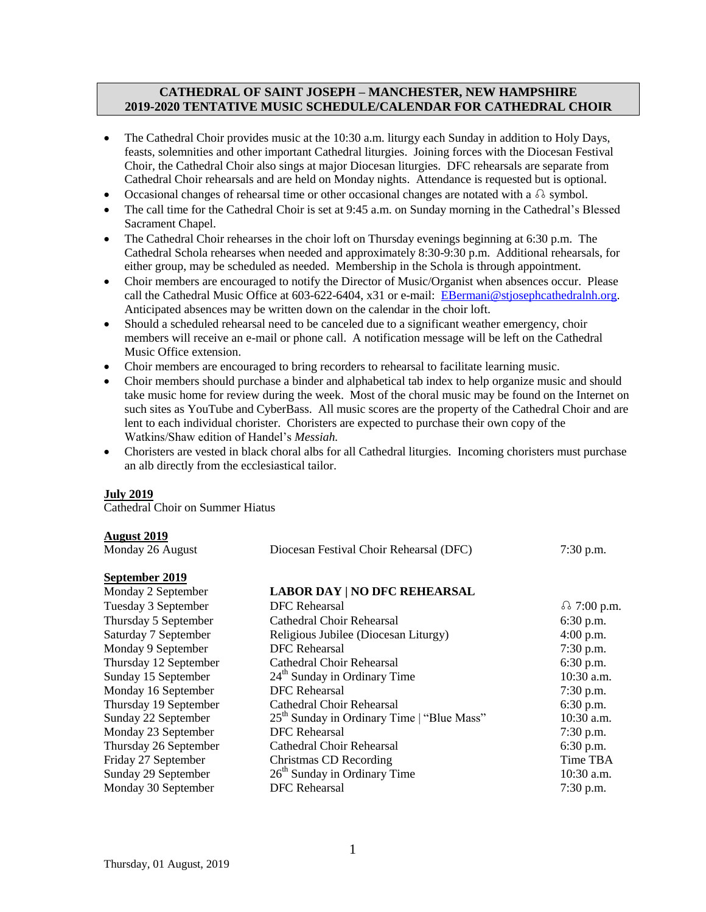### **CATHEDRAL OF SAINT JOSEPH – MANCHESTER, NEW HAMPSHIRE 2019-2020 TENTATIVE MUSIC SCHEDULE/CALENDAR FOR CATHEDRAL CHOIR**

- The Cathedral Choir provides music at the 10:30 a.m. liturgy each Sunday in addition to Holy Days, feasts, solemnities and other important Cathedral liturgies. Joining forces with the Diocesan Festival Choir, the Cathedral Choir also sings at major Diocesan liturgies. DFC rehearsals are separate from Cathedral Choir rehearsals and are held on Monday nights. Attendance is requested but is optional.
- Occasional changes of rehearsal time or other occasional changes are notated with a  $\Omega$  symbol.
- The call time for the Cathedral Choir is set at 9:45 a.m. on Sunday morning in the Cathedral's Blessed Sacrament Chapel.
- The Cathedral Choir rehearses in the choir loft on Thursday evenings beginning at 6:30 p.m. The Cathedral Schola rehearses when needed and approximately 8:30-9:30 p.m. Additional rehearsals, for either group, may be scheduled as needed. Membership in the Schola is through appointment.
- Choir members are encouraged to notify the Director of Music/Organist when absences occur. Please call the Cathedral Music Office at 603-622-6404, x31 or e-mail: [EBermani@stjosephcathedralnh.org.](mailto:EBermani@stjosephcathedralnh.org) Anticipated absences may be written down on the calendar in the choir loft.
- Should a scheduled rehearsal need to be canceled due to a significant weather emergency, choir members will receive an e-mail or phone call. A notification message will be left on the Cathedral Music Office extension.
- Choir members are encouraged to bring recorders to rehearsal to facilitate learning music.
- Choir members should purchase a binder and alphabetical tab index to help organize music and should take music home for review during the week. Most of the choral music may be found on the Internet on such sites as YouTube and CyberBass. All music scores are the property of the Cathedral Choir and are lent to each individual chorister. Choristers are expected to purchase their own copy of the Watkins/Shaw edition of Handel's *Messiah.*
- Choristers are vested in black choral albs for all Cathedral liturgies. Incoming choristers must purchase an alb directly from the ecclesiastical tailor.

## **July 2019**

**August 2019**

Cathedral Choir on Summer Hiatus

### Monday 26 August Diocesan Festival Choir Rehearsal (DFC) 7:30 p.m. **September 2019**<br>Monday 2 September **LABOR DAY | NO DFC REHEARSAL** Tuesday 3 September DFC Rehearsal and the set of 7:00 p.m. Thursday 5 September Cathedral Choir Rehearsal 6:30 p.m. Saturday 7 September Religious Jubilee (Diocesan Liturgy) 4:00 p.m. Monday 9 September **DFC** Rehearsal 7:30 p.m. Thursday 12 September Cathedral Choir Rehearsal 6:30 p.m. Sunday 15 September 24<sup>th</sup> Sunday in Ordinary Time 10:30 a.m. Monday 16 September DFC Rehearsal 7:30 p.m.<br>Thursday 19 September Cathedral Choir Rehearsal 6:30 p.m. Thursday 19 September Cathedral Choir Rehearsal Sunday  $\overline{22}$  September 25<sup>th</sup> Sunday in Ordinary Time | "Blue Mass" 10:30 a.m. Monday 23 September **DFC Rehearsal** 7:30 p.m. Thursday 26 September Cathedral Choir Rehearsal 6:30 p.m. Friday 27 September Christmas CD Recording Time TBA Sunday 29 September  $26^{th}$  Sunday in Ordinary Time  $10:30$  a.m. Monday 30 September **DFC** Rehearsal 7:30 p.m.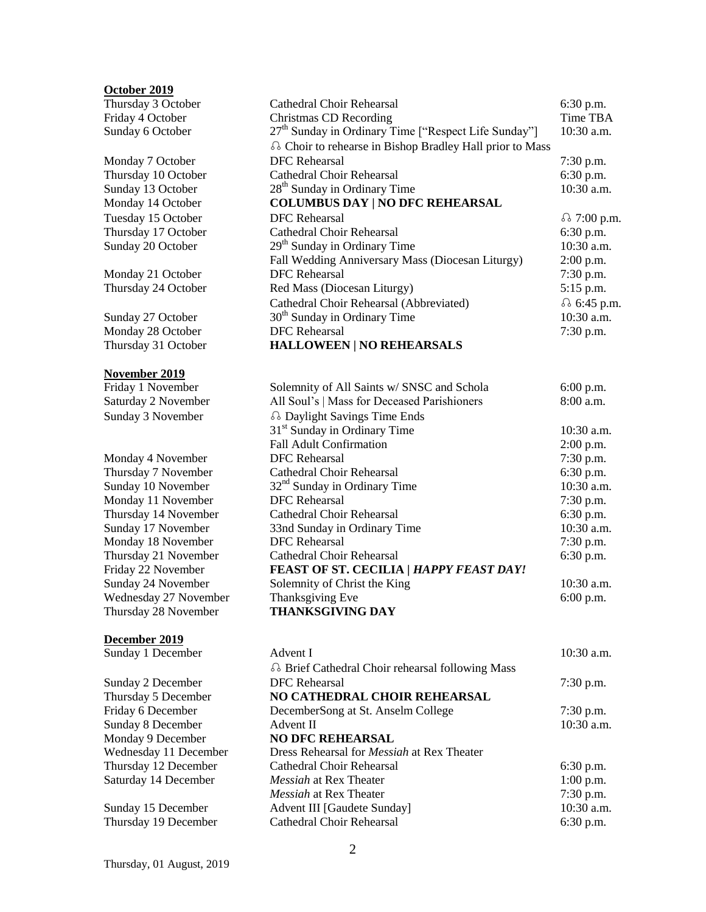#### **October 2019**

Thursday 3 October Friday 4 October Sunday 6 October Monday 7 October Thursday 10 October Sunday 13 October **Monday 14 October** Thursday 17 October Sunday 20 October Monday 21 October Thursday 24 October Sunday 27 October Monday 28 October **Thursday 31 October November 2019** Friday 1 November Saturday 2 November Sunday 3 November Monday 4 November Thursday 7 November Sunday 10 November Monday 11 November Thursday 14 November Sunday 17 November Monday 18 November Thursday 21 November **Friday 22 November** Sunday 24 November Wednesday 27 November **Thursday 28 November December 2019** Sunday 1 December Sunday 2 December **Thursday 5 December** Friday 6 December Sunday 8 December **Monday 9 December** Wednesday 11 December Thursday 12 December

Sunday 15 December Thursday 19 December

Saturday 14 December

| OCLODEF 2019          |                                                                  |                    |  |
|-----------------------|------------------------------------------------------------------|--------------------|--|
| Thursday 3 October    | <b>Cathedral Choir Rehearsal</b><br>6:30 p.m.                    |                    |  |
| Friday 4 October      | <b>Christmas CD Recording</b>                                    | Time TBA           |  |
| Sunday 6 October      | 27 <sup>th</sup> Sunday in Ordinary Time ["Respect Life Sunday"] | $10:30$ a.m.       |  |
|                       | a Choir to rehearse in Bishop Bradley Hall prior to Mass         |                    |  |
| Monday 7 October      | <b>DFC</b> Rehearsal                                             | 7:30 p.m.          |  |
| Thursday 10 October   | <b>Cathedral Choir Rehearsal</b>                                 | 6:30 p.m.          |  |
| Sunday 13 October     | 28 <sup>th</sup> Sunday in Ordinary Time                         | 10:30 a.m.         |  |
| Monday 14 October     | <b>COLUMBUS DAY   NO DFC REHEARSAL</b>                           |                    |  |
| Tuesday 15 October    | <b>DFC</b> Rehearsal                                             | <i>ெ7</i> :00 p.m. |  |
| Thursday 17 October   | <b>Cathedral Choir Rehearsal</b>                                 | 6:30 p.m.          |  |
| Sunday 20 October     | 29 <sup>th</sup> Sunday in Ordinary Time                         | 10:30 a.m.         |  |
|                       | Fall Wedding Anniversary Mass (Diocesan Liturgy)                 | 2:00 p.m.          |  |
| Monday 21 October     | <b>DFC</b> Rehearsal                                             | 7:30 p.m.          |  |
| Thursday 24 October   | Red Mass (Diocesan Liturgy)                                      | 5:15 p.m.          |  |
|                       | Cathedral Choir Rehearsal (Abbreviated)                          | <i>§</i> 6:45 p.m. |  |
| Sunday 27 October     | 30 <sup>th</sup> Sunday in Ordinary Time                         | 10:30 a.m.         |  |
| Monday 28 October     | <b>DFC</b> Rehearsal                                             | 7:30 p.m.          |  |
| Thursday 31 October   | <b>HALLOWEEN   NO REHEARSALS</b>                                 |                    |  |
| November 2019         |                                                                  |                    |  |
| Friday 1 November     | Solemnity of All Saints w/ SNSC and Schola                       | 6:00 p.m.          |  |
| Saturday 2 November   | All Soul's   Mass for Deceased Parishioners                      | $8:00$ a.m.        |  |
| Sunday 3 November     | ெDaylight Savings Time Ends                                      |                    |  |
|                       | 31 <sup>st</sup> Sunday in Ordinary Time                         | 10:30 a.m.         |  |
|                       | <b>Fall Adult Confirmation</b>                                   | 2:00 p.m.          |  |
| Monday 4 November     | <b>DFC</b> Rehearsal                                             | 7:30 p.m.          |  |
| Thursday 7 November   | Cathedral Choir Rehearsal                                        | 6:30 p.m.          |  |
| Sunday 10 November    | 32 <sup>nd</sup> Sunday in Ordinary Time                         | 10:30 a.m.         |  |
| Monday 11 November    | <b>DFC</b> Rehearsal                                             | 7:30 p.m.          |  |
| Thursday 14 November  | <b>Cathedral Choir Rehearsal</b>                                 | 6:30 p.m.          |  |
| Sunday 17 November    | 33nd Sunday in Ordinary Time                                     | 10:30 a.m.         |  |
| Monday 18 November    | <b>DFC</b> Rehearsal                                             | 7:30 p.m.          |  |
| Thursday 21 November  | <b>Cathedral Choir Rehearsal</b>                                 | 6:30 p.m.          |  |
| Friday 22 November    | FEAST OF ST. CECILIA   HAPPY FEAST DAY!                          |                    |  |
| Sunday 24 November    | Solemnity of Christ the King                                     | 10:30 a.m.         |  |
| Wednesday 27 November | Thanksgiving Eve                                                 | 6:00 p.m.          |  |
| Thursday 28 November  | <b>THANKSGIVING DAY</b>                                          |                    |  |
| December 2019         |                                                                  |                    |  |
| Sunday 1 December     | Advent I                                                         | 10:30 a.m.         |  |
|                       | <b>a</b> Brief Cathedral Choir rehearsal following Mass          |                    |  |

| $7:30$ p.m. |
|-------------|
|             |
| $7:30$ p.m. |
| 10:30 a.m   |
|             |
|             |
| $6:30$ p.m. |
| $1:00$ p.m. |
| $7:30$ p.m. |
| $10:30$ a.m |
| $6:30$ p.m. |
|             |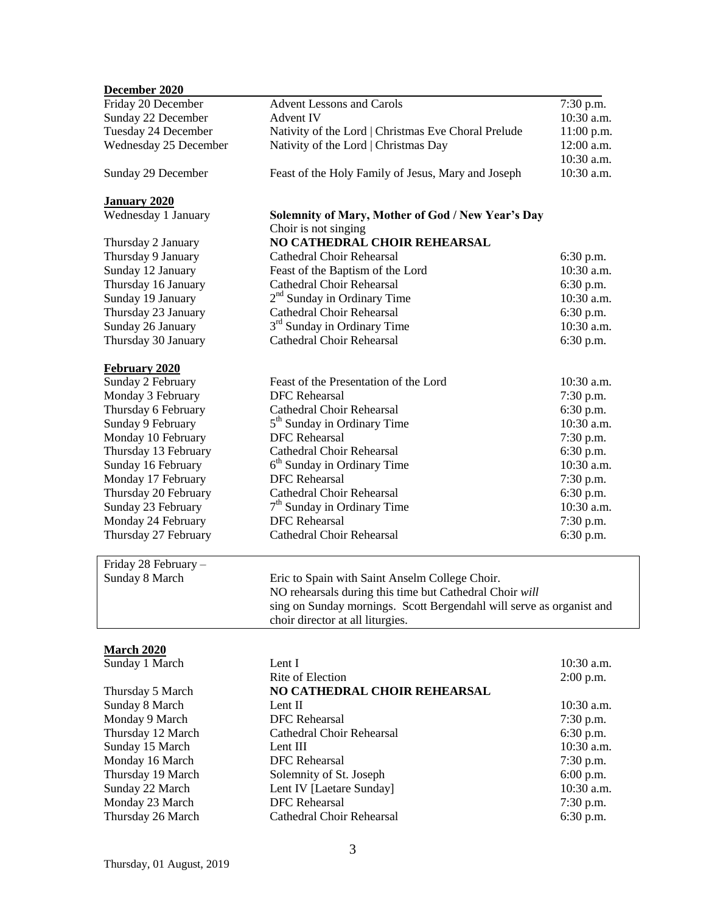| December 2020         |                                                                      |              |
|-----------------------|----------------------------------------------------------------------|--------------|
| Friday 20 December    | <b>Advent Lessons and Carols</b>                                     | 7:30 p.m.    |
| Sunday 22 December    | <b>Advent IV</b>                                                     | 10:30 a.m.   |
| Tuesday 24 December   | Nativity of the Lord   Christmas Eve Choral Prelude                  | 11:00 p.m.   |
| Wednesday 25 December | Nativity of the Lord   Christmas Day                                 | 12:00 a.m.   |
|                       |                                                                      | 10:30 a.m.   |
| Sunday 29 December    | Feast of the Holy Family of Jesus, Mary and Joseph                   | 10:30 a.m.   |
| <b>January 2020</b>   |                                                                      |              |
| Wednesday 1 January   | Solemnity of Mary, Mother of God / New Year's Day                    |              |
|                       | Choir is not singing                                                 |              |
| Thursday 2 January    | NO CATHEDRAL CHOIR REHEARSAL                                         |              |
| Thursday 9 January    | <b>Cathedral Choir Rehearsal</b>                                     | 6:30 p.m.    |
| Sunday 12 January     | Feast of the Baptism of the Lord                                     | 10:30 a.m.   |
| Thursday 16 January   | Cathedral Choir Rehearsal                                            | 6:30 p.m.    |
| Sunday 19 January     | 2 <sup>nd</sup> Sunday in Ordinary Time                              | 10:30 a.m.   |
| Thursday 23 January   | <b>Cathedral Choir Rehearsal</b>                                     | 6:30 p.m.    |
| Sunday 26 January     | 3 <sup>rd</sup> Sunday in Ordinary Time                              | 10:30 a.m.   |
| Thursday 30 January   | <b>Cathedral Choir Rehearsal</b>                                     | 6:30 p.m.    |
|                       |                                                                      |              |
| <b>February 2020</b>  |                                                                      |              |
| Sunday 2 February     | Feast of the Presentation of the Lord                                | $10:30$ a.m. |
| Monday 3 February     | <b>DFC</b> Rehearsal                                                 | 7:30 p.m.    |
| Thursday 6 February   | Cathedral Choir Rehearsal                                            | 6:30 p.m.    |
| Sunday 9 February     | 5 <sup>th</sup> Sunday in Ordinary Time                              | 10:30 a.m.   |
| Monday 10 February    | <b>DFC</b> Rehearsal                                                 | 7:30 p.m.    |
| Thursday 13 February  | <b>Cathedral Choir Rehearsal</b>                                     | 6:30 p.m.    |
| Sunday 16 February    | 6 <sup>th</sup> Sunday in Ordinary Time                              | 10:30 a.m.   |
| Monday 17 February    | <b>DFC</b> Rehearsal                                                 | 7:30 p.m.    |
| Thursday 20 February  | Cathedral Choir Rehearsal                                            | 6:30 p.m.    |
| Sunday 23 February    | 7 <sup>th</sup> Sunday in Ordinary Time                              | 10:30 a.m.   |
| Monday 24 February    | <b>DFC</b> Rehearsal                                                 | 7:30 p.m.    |
| Thursday 27 February  | <b>Cathedral Choir Rehearsal</b>                                     | 6:30 p.m.    |
| Friday 28 February -  |                                                                      |              |
| Sunday 8 March        | Eric to Spain with Saint Anselm College Choir.                       |              |
|                       | NO rehearsals during this time but Cathedral Choir will              |              |
|                       | sing on Sunday mornings. Scott Bergendahl will serve as organist and |              |
|                       | choir director at all liturgies.                                     |              |
|                       |                                                                      |              |
| <b>March 2020</b>     |                                                                      |              |
| Sunday 1 March        | Lent I                                                               | 10:30 a.m.   |
|                       | Rite of Election                                                     | $2:00$ p.m.  |
| Thursday 5 March      | NO CATHEDRAL CHOIR REHEARSAL                                         |              |
| Sunday 8 March        | Lent II                                                              | 10:30 a.m.   |

| Sunday 8 March    | Lent II                   |
|-------------------|---------------------------|
| Monday 9 March    | <b>DFC</b> Rehearsal      |
| Thursday 12 March | Cathedral Choir Rehearsal |
| Sunday 15 March   | Lent III                  |
| Monday 16 March   | <b>DFC</b> Rehearsal      |
| Thursday 19 March | Solemnity of St. Joseph   |
| Sunday 22 March   | Lent IV [Laetare Sunday]  |
| Monday 23 March   | <b>DFC</b> Rehearsal      |
| Thursday 26 March | Cathedral Choir Rehearsal |
|                   |                           |

DFC Rehearsal 7:30 p.m.

DFC Rehearsal 7:30 p.m.<br>Solemnity of St. Joseph 6:00 p.m. Solemnity of St. Joseph 6:00 p.m.<br>Lent IV [Laetare Sunday] 10:30 a.m. Lent IV [Laetare Sunday] 10:30 a.m.<br>DFC Rehearsal 7:30 p.m. DFC Rehearsal 7:30 p.m.<br>Cathedral Choir Rehearsal 6:30 p.m.

6:30 p.m.<br> $10:30$  a.m.<br> $7:30$  p.m.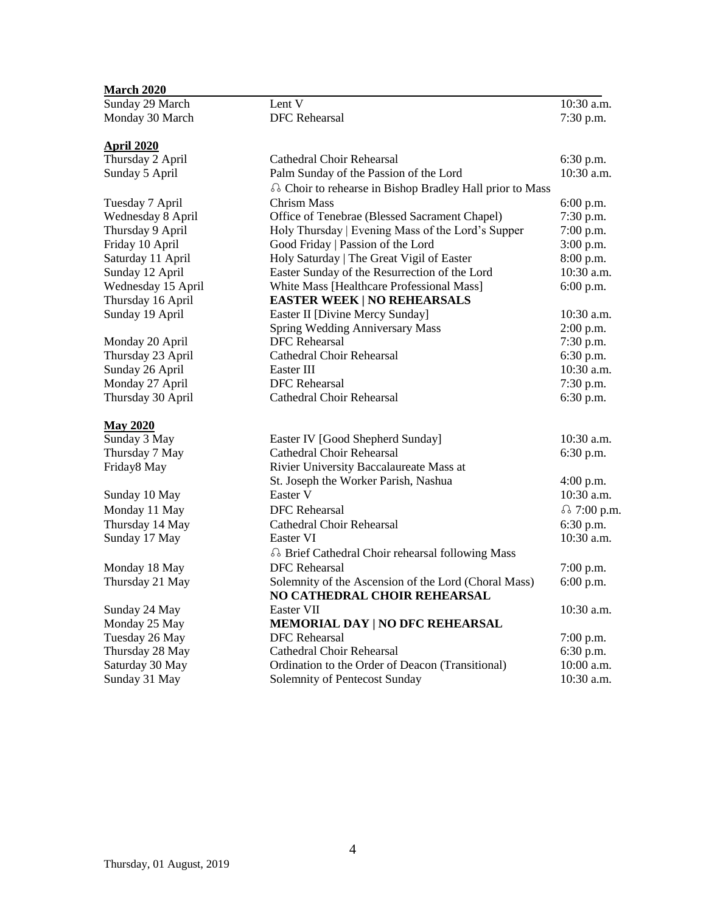| <b>March 2020</b>  |                                                          |              |
|--------------------|----------------------------------------------------------|--------------|
| Sunday 29 March    | Lent V                                                   | 10:30 a.m.   |
| Monday 30 March    | <b>DFC</b> Rehearsal                                     | 7:30 p.m.    |
| <u>April 2020</u>  |                                                          |              |
| Thursday 2 April   | <b>Cathedral Choir Rehearsal</b>                         | 6:30 p.m.    |
| Sunday 5 April     | Palm Sunday of the Passion of the Lord                   | 10:30 a.m.   |
|                    | a Choir to rehearse in Bishop Bradley Hall prior to Mass |              |
| Tuesday 7 April    | <b>Chrism Mass</b>                                       | $6:00$ p.m.  |
| Wednesday 8 April  | Office of Tenebrae (Blessed Sacrament Chapel)            | 7:30 p.m.    |
| Thursday 9 April   | Holy Thursday   Evening Mass of the Lord's Supper        | 7:00 p.m.    |
| Friday 10 April    | Good Friday   Passion of the Lord                        | 3:00 p.m.    |
| Saturday 11 April  | Holy Saturday   The Great Vigil of Easter                | 8:00 p.m.    |
| Sunday 12 April    | Easter Sunday of the Resurrection of the Lord            | 10:30 a.m.   |
| Wednesday 15 April | White Mass [Healthcare Professional Mass]                | 6:00 p.m.    |
| Thursday 16 April  | <b>EASTER WEEK   NO REHEARSALS</b>                       |              |
| Sunday 19 April    | Easter II [Divine Mercy Sunday]                          | $10:30$ a.m. |
|                    | <b>Spring Wedding Anniversary Mass</b>                   | $2:00$ p.m.  |
| Monday 20 April    | <b>DFC</b> Rehearsal                                     | 7:30 p.m.    |
| Thursday 23 April  | Cathedral Choir Rehearsal                                | 6:30 p.m.    |
| Sunday 26 April    | Easter III                                               | 10:30 a.m.   |
| Monday 27 April    | <b>DFC</b> Rehearsal                                     | 7:30 p.m.    |
| Thursday 30 April  | <b>Cathedral Choir Rehearsal</b>                         | 6:30 p.m.    |
| <b>May 2020</b>    |                                                          |              |
| Sunday 3 May       | Easter IV [Good Shepherd Sunday]                         | $10:30$ a.m. |
| Thursday 7 May     | <b>Cathedral Choir Rehearsal</b>                         | 6:30 p.m.    |
| Friday8 May        | Rivier University Baccalaureate Mass at                  |              |
|                    | St. Joseph the Worker Parish, Nashua                     | $4:00$ p.m.  |
| Sunday 10 May      | Easter V                                                 | 10:30 a.m.   |
| Monday 11 May      | <b>DFC</b> Rehearsal                                     | δ 7:00 p.m.  |
| Thursday 14 May    | <b>Cathedral Choir Rehearsal</b>                         | 6:30 p.m.    |
| Sunday 17 May      | Easter VI                                                | 10:30 a.m.   |
|                    | a Brief Cathedral Choir rehearsal following Mass         |              |
| Monday 18 May      | <b>DFC</b> Rehearsal                                     | $7:00$ p.m.  |
| Thursday 21 May    | Solemnity of the Ascension of the Lord (Choral Mass)     | 6:00 p.m.    |
|                    | NO CATHEDRAL CHOIR REHEARSAL                             |              |
| Sunday 24 May      | Easter VII                                               | 10:30 a.m.   |
| Monday 25 May      | MEMORIAL DAY   NO DFC REHEARSAL                          |              |
| Tuesday 26 May     | <b>DFC</b> Rehearsal                                     | $7:00$ p.m.  |
| Thursday 28 May    | <b>Cathedral Choir Rehearsal</b>                         | 6:30 p.m.    |
| Saturday 30 May    | Ordination to the Order of Deacon (Transitional)         | 10:00 a.m.   |
| Sunday 31 May      | Solemnity of Pentecost Sunday                            | 10:30 a.m.   |
|                    |                                                          |              |